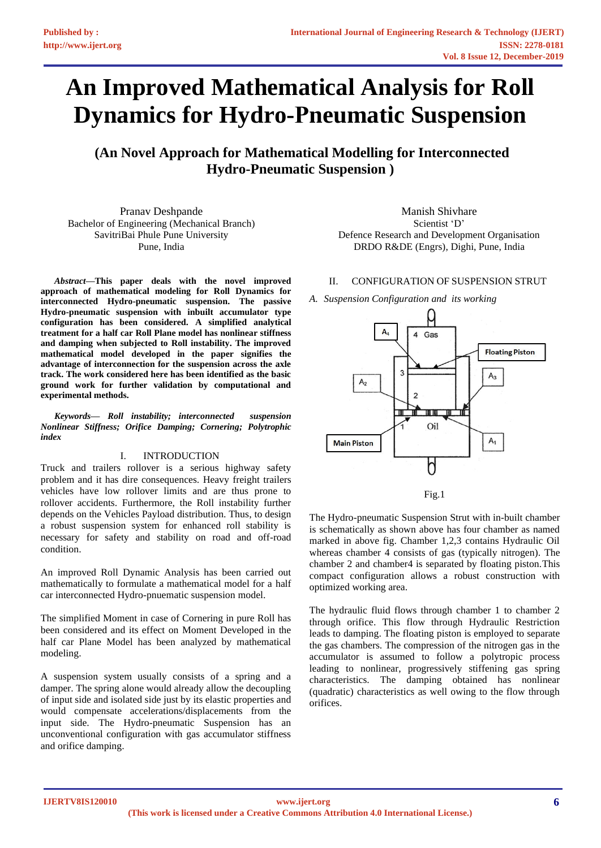# **An Improved Mathematical Analysis for Roll Dynamics for Hydro-Pneumatic Suspension**

**(An Novel Approach for Mathematical Modelling for Interconnected Hydro-Pneumatic Suspension )** 

Pranav Deshpande Bachelor of Engineering (Mechanical Branch) SavitriBai Phule Pune University Pune, India

*Abstract***—This paper deals with the novel improved approach of mathematical modeling for Roll Dynamics for interconnected Hydro-pneumatic suspension. The passive Hydro-pneumatic suspension with inbuilt accumulator type configuration has been considered. A simplified analytical treatment for a half car Roll Plane model has nonlinear stiffness and damping when subjected to Roll instability. The improved mathematical model developed in the paper signifies the advantage of interconnection for the suspension across the axle track. The work considered here has been identified as the basic ground work for further validation by computational and experimental methods.**

*Keywords— Roll instability; interconnected suspension Nonlinear Stiffness; Orifice Damping; Cornering; Polytrophic index*

## I. INTRODUCTION

Truck and trailers rollover is a serious highway safety problem and it has dire consequences. Heavy freight trailers vehicles have low rollover limits and are thus prone to rollover accidents. Furthermore, the Roll instability further depends on the Vehicles Payload distribution. Thus, to design a robust suspension system for enhanced roll stability is necessary for safety and stability on road and off-road condition.

An improved Roll Dynamic Analysis has been carried out mathematically to formulate a mathematical model for a half car interconnected Hydro-pnuematic suspension model.

The simplified Moment in case of Cornering in pure Roll has been considered and its effect on Moment Developed in the half car Plane Model has been analyzed by mathematical modeling.

A suspension system usually consists of a spring and a damper. The spring alone would already allow the decoupling of input side and isolated side just by its elastic properties and would compensate accelerations/displacements from the input side. The Hydro-pneumatic Suspension has an unconventional configuration with gas accumulator stiffness and orifice damping.

Manish Shivhare Scientist 'D' Defence Research and Development Organisation DRDO R&DE (Engrs), Dighi, Pune, India

II. CONFIGURATION OF SUSPENSION STRUT

*A. Suspension Configuration and its working*



The Hydro-pneumatic Suspension Strut with in-built chamber is schematically as shown above has four chamber as named marked in above fig. Chamber 1,2,3 contains Hydraulic Oil whereas chamber 4 consists of gas (typically nitrogen). The chamber 2 and chamber4 is separated by floating piston.This compact configuration allows a robust construction with optimized working area.

The hydraulic fluid flows through chamber 1 to chamber 2 through orifice. This flow through Hydraulic Restriction leads to damping. The floating piston is employed to separate the gas chambers. The compression of the nitrogen gas in the accumulator is assumed to follow a polytropic process leading to nonlinear, progressively stiffening gas spring characteristics. The damping obtained has nonlinear (quadratic) characteristics as well owing to the flow through orifices.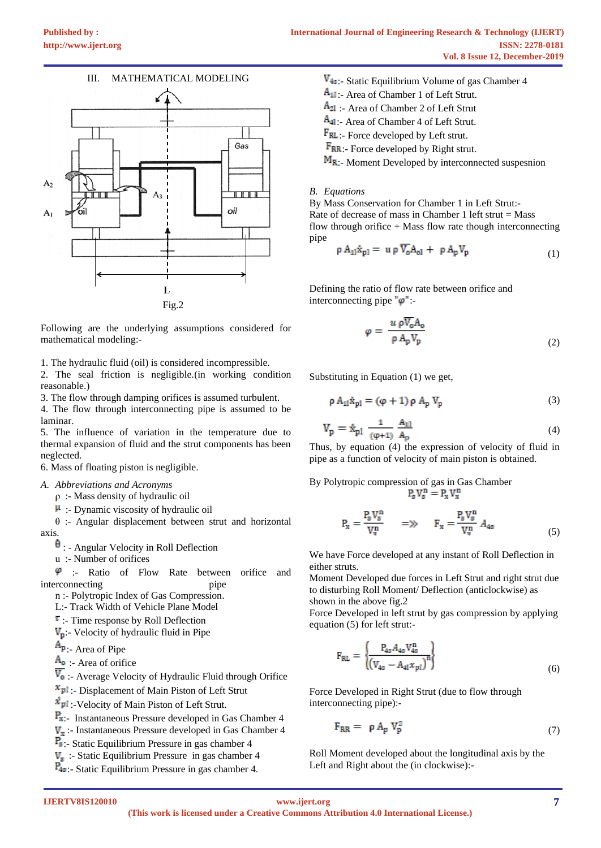

Following are the underlying assumptions considered for mathematical modeling:-

1. The hydraulic fluid (oil) is considered incompressible.

2. The seal friction is negligible.(in working condition reasonable.)

3. The flow through damping orifices is assumed turbulent.

4. The flow through interconnecting pipe is assumed to be laminar.

5. The influence of variation in the temperature due to thermal expansion of fluid and the strut components has been neglected.

6. Mass of floating piston is negligible.

## *A. Abbreviations and Acronyms*

ρ :- Mass density of hydraulic oil

 $\mu$  :- Dynamic viscosity of hydraulic oil

θ :- Angular displacement between strut and horizontal axis.

 $\theta$ : - Angular Velocity in Roll Deflection

u :- Number of orifices

 $\varphi$  :- Ratio of Flow Rate between orifice and interconnecting pipe

n :- Polytropic Index of Gas Compression.

L:- Track Width of Vehicle Plane Model

 $\tau$ :- Time response by Roll Deflection

 $V_p$ :- Velocity of hydraulic fluid in Pipe

 $A_{p}$ . Area of Pipe

 $A_0$  - Area of orifice

 $\overline{V_{o}}$  :- Average Velocity of Hydraulic Fluid through Orifice

 $x_{pl}$ : Displacement of Main Piston of Left Strut

 $\dot{x}_{pl}$ :-Velocity of Main Piston of Left Strut.

 $P_{x}$ :- Instantaneous Pressure developed in Gas Chamber 4

 $V_x$ :- Instantaneous Pressure developed in Gas Chamber 4

:- Static Equilibrium Pressure in gas chamber 4

 $V<sub>s</sub>$ : Static Equilibrium Pressure in gas chamber 4

 $P_{4s}$ :- Static Equilibrium Pressure in gas chamber 4.

- $V_{4s}$ :- Static Equilibrium Volume of gas Chamber 4
- $A_{11}$ : Area of Chamber 1 of Left Strut.
- $A_{21}$ : Area of Chamber 2 of Left Strut
- A<sub>41</sub>: Area of Chamber 4 of Left Strut.
- $F_{RL}$ :- Force developed by Left strut.

 $F_{RR}$ :- Force developed by Right strut.

 $M_{R}$ :- Moment Developed by interconnected suspesnion

### *B. Equations*

By Mass Conservation for Chamber 1 in Left Strut:- Rate of decrease of mass in Chamber 1 left strut  $=$  Mass flow through orifice  $+$  Mass flow rate though interconnecting pipe

$$
\rho A_{11} \dot{x}_{p1} = u \rho \overline{V_o} A_{ol} + \rho A_p V_p \tag{1}
$$

Defining the ratio of flow rate between orifice and interconnecting pipe  $\phi$ ":

$$
\varphi = \frac{u \, \rho \overline{V}_0 A_0}{\rho \, A_p V_p} \tag{2}
$$

Substituting in Equation (1) we get,

$$
\rho A_{11} \dot{x}_{p1} = (\varphi + 1) \rho A_p V_p \tag{3}
$$

$$
V_p = \dot{x}_{p1} \frac{1}{(\phi + 1)} \frac{A_{11}}{A_p} \tag{4}
$$

Thus, by equation (4) the expression of velocity of fluid in pipe as a function of velocity of main piston is obtained.

By Polytropic compression of gas in Gas Chamber<br> $P_g V_g^n = P_x V_x^n$ 

$$
P_x = \frac{P_s V_s^n}{V_x^n} \qquad \Longrightarrow \qquad F_x = \frac{P_s V_s^n}{V_x^n} \ A_{4s} \tag{5}
$$

We have Force developed at any instant of Roll Deflection in either struts.

Moment Developed due forces in Left Strut and right strut due to disturbing Roll Moment/ Deflection (anticlockwise) as shown in the above fig.2

Force Developed in left strut by gas compression by applying equation (5) for left strut:-

$$
F_{RL} = \frac{\left\{ \frac{P_{4s} A_{4s} V_{4s}^{n}}{\left( V_{4s} - A_{4l} x_{pl} \right)^{n} \right\}} \tag{6}
$$

Force Developed in Right Strut (due to flow through interconnecting pipe):-

$$
F_{RR} = \rho A_p V_p^2 \tag{7}
$$

Roll Moment developed about the longitudinal axis by the Left and Right about the (in clockwise):-